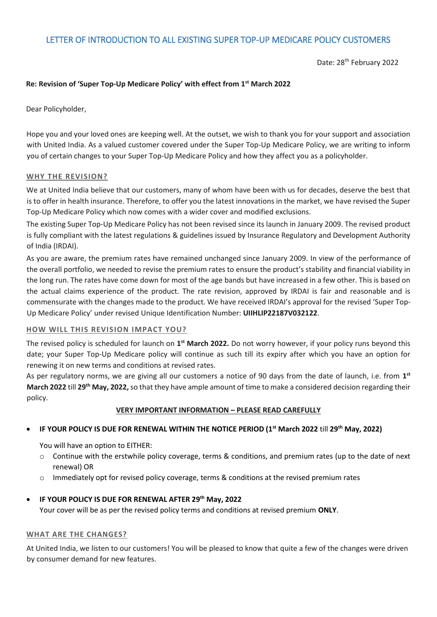# LETTER OF INTRODUCTION TO ALL EXISTING SUPER TOP-UP MEDICARE POLICY CUSTOMERS

Date: 28<sup>th</sup> February 2022

## **Re: Revision of 'Super Top-Up Medicare Policy' with effect from 1 st March 2022**

Dear Policyholder,

Hope you and your loved ones are keeping well. At the outset, we wish to thank you for your support and association with United India. As a valued customer covered under the Super Top-Up Medicare Policy, we are writing to inform you of certain changes to your Super Top-Up Medicare Policy and how they affect you as a policyholder.

#### **WHY THE REVISION?**

We at United India believe that our customers, many of whom have been with us for decades, deserve the best that is to offer in health insurance. Therefore, to offer you the latest innovations in the market, we have revised the Super Top-Up Medicare Policy which now comes with a wider cover and modified exclusions.

The existing Super Top-Up Medicare Policy has not been revised since its launch in January 2009. The revised product is fully compliant with the latest regulations & guidelines issued by Insurance Regulatory and Development Authority of India (IRDAI).

As you are aware, the premium rates have remained unchanged since January 2009. In view of the performance of the overall portfolio, we needed to revise the premium rates to ensure the product's stability and financial viability in the long run. The rates have come down for most of the age bands but have increased in a few other. This is based on the actual claims experience of the product. The rate revision, approved by IRDAI is fair and reasonable and is commensurate with the changes made to the product. We have received IRDAI's approval for the revised 'Super Top-Up Medicare Policy' under revised Unique Identification Number: **UIIHLIP22187V032122**.

### **HOW WILL THIS REVISION IMPACT YOU?**

The revised policy is scheduled for launch on 1<sup>st</sup> March 2022. Do not worry however, if your policy runs beyond this date; your Super Top-Up Medicare policy will continue as such till its expiry after which you have an option for renewing it on new terms and conditions at revised rates.

As per regulatory norms, we are giving all our customers a notice of 90 days from the date of launch, i.e. from **1 st March 2022** till **29 th May, 2022,**so that they have ample amount of time to make a considered decision regarding their policy.

### **VERY IMPORTANT INFORMATION – PLEASE READ CAREFULLY**

### **IF YOUR POLICY IS DUE FOR RENEWAL WITHIN THE NOTICE PERIOD (1 st March 2022** till **29 th May, 2022)**

You will have an option to EITHER:

- o Continue with the erstwhile policy coverage, terms & conditions, and premium rates (up to the date of next renewal) OR
- $\circ$  Immediately opt for revised policy coverage, terms & conditions at the revised premium rates

### **IF YOUR POLICY IS DUE FOR RENEWAL AFTER 29 th May, 2022**

Your cover will be as per the revised policy terms and conditions at revised premium **ONLY**.

#### **WHAT ARE THE CHANGES?**

At United India, we listen to our customers! You will be pleased to know that quite a few of the changes were driven by consumer demand for new features.